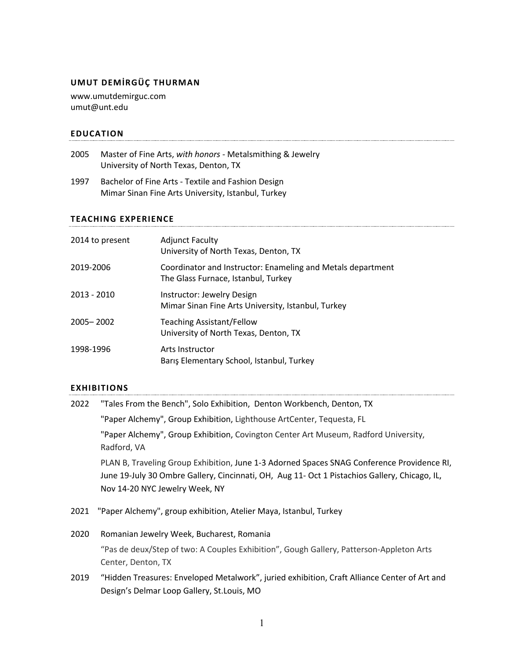# **UMUT DEMİRGÜÇ THURMAN**

www.umutdemirguc.com umut@unt.edu

# **EDUCATION**

| 2005 | Master of Fine Arts, with honors - Metalsmithing & Jewelry |
|------|------------------------------------------------------------|
|      | University of North Texas, Denton, TX                      |

1997 Bachelor of Fine Arts - Textile and Fashion Design Mimar Sinan Fine Arts University, Istanbul, Turkey

#### **TEACHING EXPERIENCE**

| 2014 to present | <b>Adjunct Faculty</b><br>University of North Texas, Denton, TX                                    |
|-----------------|----------------------------------------------------------------------------------------------------|
| 2019-2006       | Coordinator and Instructor: Enameling and Metals department<br>The Glass Furnace, Istanbul, Turkey |
| 2013 - 2010     | Instructor: Jewelry Design<br>Mimar Sinan Fine Arts University, Istanbul, Turkey                   |
| 2005-2002       | <b>Teaching Assistant/Fellow</b><br>University of North Texas, Denton, TX                          |
| 1998-1996       | Arts Instructor<br>Barış Elementary School, Istanbul, Turkey                                       |

## **EXHIBITIONS**

| 2022 | "Tales From the Bench", Solo Exhibition, Denton Workbench, Denton, TX                                                                                                                                                         |
|------|-------------------------------------------------------------------------------------------------------------------------------------------------------------------------------------------------------------------------------|
|      | "Paper Alchemy", Group Exhibition, Lighthouse ArtCenter, Tequesta, FL                                                                                                                                                         |
|      | "Paper Alchemy", Group Exhibition, Covington Center Art Museum, Radford University,<br>Radford, VA                                                                                                                            |
|      | PLAN B, Traveling Group Exhibition, June 1-3 Adorned Spaces SNAG Conference Providence RI,<br>June 19-July 30 Ombre Gallery, Cincinnati, OH, Aug 11- Oct 1 Pistachios Gallery, Chicago, IL,<br>Nov 14-20 NYC Jewelry Week, NY |
| 2021 | "Paper Alchemy", group exhibition, Atelier Maya, Istanbul, Turkey                                                                                                                                                             |
| 2020 | Romanian Jewelry Week, Bucharest, Romania                                                                                                                                                                                     |
|      | "Pas de deux/Step of two: A Couples Exhibition", Gough Gallery, Patterson-Appleton Arts<br>Center, Denton, TX                                                                                                                 |
| 2019 | "Hidden Treasures: Enveloped Metalwork", juried exhibition, Craft Alliance Center of Art and<br>Design's Delmar Loop Gallery, St.Louis, MO                                                                                    |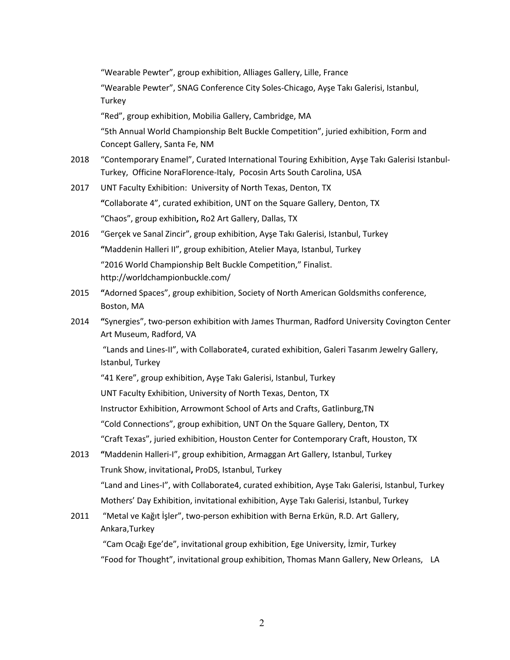|      | "Wearable Pewter", group exhibition, Alliages Gallery, Lille, France                                                                                                   |
|------|------------------------------------------------------------------------------------------------------------------------------------------------------------------------|
|      | "Wearable Pewter", SNAG Conference City Soles-Chicago, Ayse Takı Galerisi, Istanbul,                                                                                   |
|      | Turkey                                                                                                                                                                 |
|      | "Red", group exhibition, Mobilia Gallery, Cambridge, MA                                                                                                                |
|      | "5th Annual World Championship Belt Buckle Competition", juried exhibition, Form and<br>Concept Gallery, Santa Fe, NM                                                  |
| 2018 | "Contemporary Enamel", Curated International Touring Exhibition, Ayse Takı Galerisi Istanbul-<br>Turkey, Officine NoraFlorence-Italy, Pocosin Arts South Carolina, USA |
| 2017 | UNT Faculty Exhibition: University of North Texas, Denton, TX                                                                                                          |
|      | "Collaborate 4", curated exhibition, UNT on the Square Gallery, Denton, TX                                                                                             |
|      | "Chaos", group exhibition, Ro2 Art Gallery, Dallas, TX                                                                                                                 |
| 2016 | "Gerçek ve Sanal Zincir", group exhibition, Ayşe Takı Galerisi, Istanbul, Turkey                                                                                       |
|      | "Maddenin Halleri II", group exhibition, Atelier Maya, Istanbul, Turkey                                                                                                |
|      | "2016 World Championship Belt Buckle Competition," Finalist.<br>http://worldchampionbuckle.com/                                                                        |
| 2015 | "Adorned Spaces", group exhibition, Society of North American Goldsmiths conference,<br>Boston, MA                                                                     |
| 2014 | "Synergies", two-person exhibition with James Thurman, Radford University Covington Center<br>Art Museum, Radford, VA                                                  |
|      | "Lands and Lines-II", with Collaborate4, curated exhibition, Galeri Tasarım Jewelry Gallery,<br>Istanbul, Turkey                                                       |
|      | "41 Kere", group exhibition, Ayşe Takı Galerisi, Istanbul, Turkey                                                                                                      |
|      | UNT Faculty Exhibition, University of North Texas, Denton, TX                                                                                                          |
|      | Instructor Exhibition, Arrowmont School of Arts and Crafts, Gatlinburg, TN                                                                                             |
|      | "Cold Connections", group exhibition, UNT On the Square Gallery, Denton, TX                                                                                            |
|      | "Craft Texas", juried exhibition, Houston Center for Contemporary Craft, Houston, TX                                                                                   |
| 2013 | "Maddenin Halleri-I", group exhibition, Armaggan Art Gallery, Istanbul, Turkey                                                                                         |
|      | Trunk Show, invitational, ProDS, Istanbul, Turkey                                                                                                                      |
|      | "Land and Lines-I", with Collaborate4, curated exhibition, Ayşe Takı Galerisi, Istanbul, Turkey                                                                        |
|      | Mothers' Day Exhibition, invitational exhibition, Ayse Takı Galerisi, Istanbul, Turkey                                                                                 |
| 2011 | "Metal ve Kağıt İşler", two-person exhibition with Berna Erkün, R.D. Art Gallery,<br>Ankara, Turkey                                                                    |
|      | "Cam Ocağı Ege'de", invitational group exhibition, Ege University, İzmir, Turkey                                                                                       |

"Food for Thought", invitational group exhibition, Thomas Mann Gallery, New Orleans, LA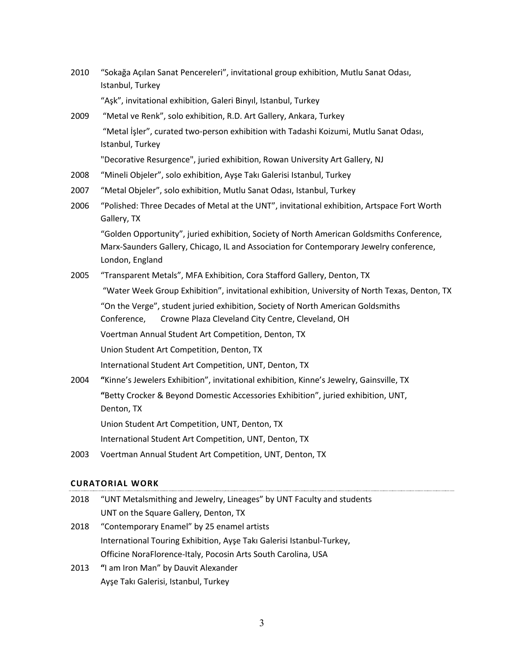2010 "Sokağa Açılan Sanat Pencereleri", invitational group exhibition, Mutlu Sanat Odası, Istanbul, Turkey

"Aşk", invitational exhibition, Galeri Binyıl, Istanbul, Turkey

2009 "Metal ve Renk", solo exhibition, R.D. Art Gallery, Ankara, Turkey "Metal İşler", curated two-person exhibition with Tadashi Koizumi, Mutlu Sanat Odası, Istanbul, Turkey

"Decorative Resurgence", juried exhibition, Rowan University Art Gallery, NJ

- 2008 "Mineli Objeler", solo exhibition, Ayşe Takı Galerisi Istanbul, Turkey
- 2007 "Metal Objeler", solo exhibition, Mutlu Sanat Odası, Istanbul, Turkey
- 2006 "Polished: Three Decades of Metal at the UNT", invitational exhibition, Artspace Fort Worth Gallery, TX

"Golden Opportunity", juried exhibition, Society of North American Goldsmiths Conference, Marx-Saunders Gallery, Chicago, IL and Association for Contemporary Jewelry conference, London, England

2005 "Transparent Metals", MFA Exhibition, Cora Stafford Gallery, Denton, TX

"Water Week Group Exhibition", invitational exhibition, University of North Texas, Denton, TX "On the Verge", student juried exhibition, Society of North American Goldsmiths Conference, Crowne Plaza Cleveland City Centre, Cleveland, OH Voertman Annual Student Art Competition, Denton, TX Union Student Art Competition, Denton, TX

International Student Art Competition, UNT, Denton, TX

2004 **"**Kinne's Jewelers Exhibition", invitational exhibition, Kinne's Jewelry, Gainsville, TX **"**Betty Crocker & Beyond Domestic Accessories Exhibition", juried exhibition, UNT, Denton, TX Union Student Art Competition, UNT, Denton, TX

International Student Art Competition, UNT, Denton, TX

2003 Voertman Annual Student Art Competition, UNT, Denton, TX

#### **CURATORIAL WORK**

- 2018 "UNT Metalsmithing and Jewelry, Lineages" by UNT Faculty and students UNT on the Square Gallery, Denton, TX
- 2018 "Contemporary Enamel" by 25 enamel artists International Touring Exhibition, Ayşe Takı Galerisi Istanbul-Turkey, Officine NoraFlorence-Italy, Pocosin Arts South Carolina, USA
- 2013 **"**I am Iron Man" by Dauvit Alexander Ayşe Takı Galerisi, Istanbul, Turkey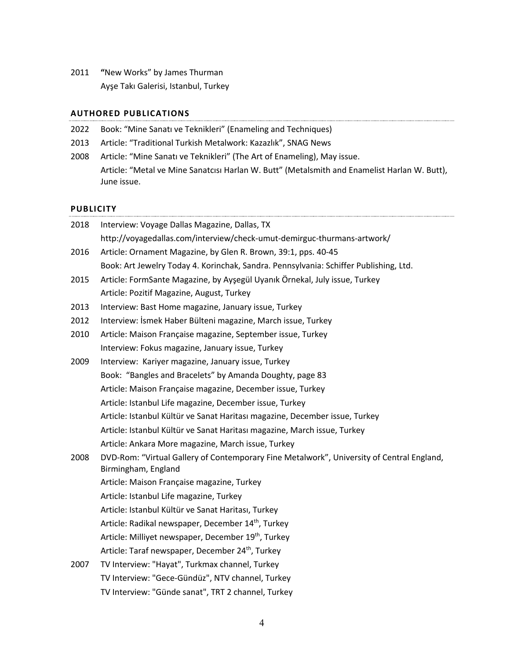2011 **"**New Works" by James Thurman Ayşe Takı Galerisi, Istanbul, Turkey

#### **AUTHORED PUBLICATIONS**

| 2022 Book: "Mine Sanatı ve Teknikleri" (Enameling and Techniques) |  |
|-------------------------------------------------------------------|--|

- 2013 Article: "Traditional Turkish Metalwork: Kazazlık", SNAG News
- 2008 Article: "Mine Sanatı ve Teknikleri" (The Art of Enameling), May issue. Article: "Metal ve Mine Sanatcısı Harlan W. Butt" (Metalsmith and Enamelist Harlan W. Butt), June issue.

#### **PUBLICITY**

| 2018 | Interview: Voyage Dallas Magazine, Dallas, TX                                                                    |
|------|------------------------------------------------------------------------------------------------------------------|
|      | http://voyagedallas.com/interview/check-umut-demirguc-thurmans-artwork/                                          |
| 2016 | Article: Ornament Magazine, by Glen R. Brown, 39:1, pps. 40-45                                                   |
|      | Book: Art Jewelry Today 4. Korinchak, Sandra. Pennsylvania: Schiffer Publishing, Ltd.                            |
| 2015 | Article: FormSante Magazine, by Ayşegül Uyanık Örnekal, July issue, Turkey                                       |
|      | Article: Pozitif Magazine, August, Turkey                                                                        |
| 2013 | Interview: Bast Home magazine, January issue, Turkey                                                             |
| 2012 | Interview: İsmek Haber Bülteni magazine, March issue, Turkey                                                     |
| 2010 | Article: Maison Française magazine, September issue, Turkey                                                      |
|      | Interview: Fokus magazine, January issue, Turkey                                                                 |
| 2009 | Interview: Kariyer magazine, January issue, Turkey                                                               |
|      | Book: "Bangles and Bracelets" by Amanda Doughty, page 83                                                         |
|      | Article: Maison Française magazine, December issue, Turkey                                                       |
|      | Article: Istanbul Life magazine, December issue, Turkey                                                          |
|      | Article: Istanbul Kültür ve Sanat Haritası magazine, December issue, Turkey                                      |
|      | Article: Istanbul Kültür ve Sanat Haritası magazine, March issue, Turkey                                         |
|      | Article: Ankara More magazine, March issue, Turkey                                                               |
| 2008 | DVD-Rom: "Virtual Gallery of Contemporary Fine Metalwork", University of Central England,<br>Birmingham, England |
|      | Article: Maison Française magazine, Turkey                                                                       |
|      | Article: Istanbul Life magazine, Turkey                                                                          |
|      | Article: Istanbul Kültür ve Sanat Haritası, Turkey                                                               |
|      | Article: Radikal newspaper, December 14 <sup>th</sup> , Turkey                                                   |
|      | Article: Milliyet newspaper, December 19 <sup>th</sup> , Turkey                                                  |
|      | Article: Taraf newspaper, December 24 <sup>th</sup> , Turkey                                                     |
| 2007 | TV Interview: "Hayat", Turkmax channel, Turkey                                                                   |
|      | TV Interview: "Gece-Gündüz", NTV channel, Turkey                                                                 |
|      | TV Interview: "Günde sanat", TRT 2 channel, Turkey                                                               |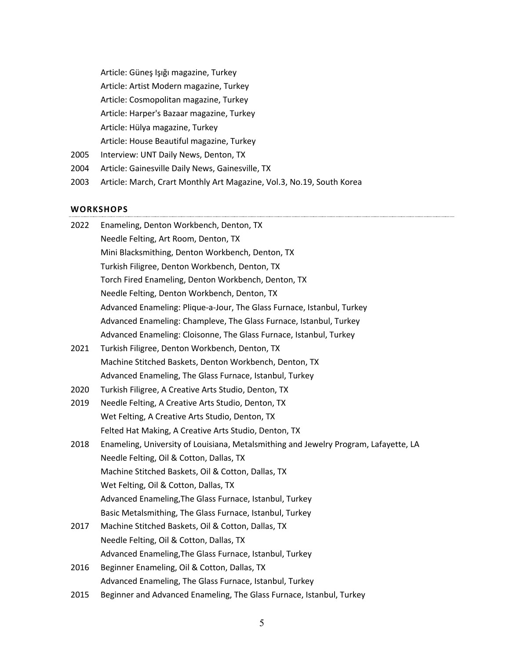Article: Güneş Işığı magazine, Turkey Article: Artist Modern magazine, Turkey Article: Cosmopolitan magazine, Turkey Article: Harper's Bazaar magazine, Turkey Article: Hülya magazine, Turkey

Article: House Beautiful magazine, Turkey

- 2005 Interview: UNT Daily News, Denton, TX
- 2004 Article: Gainesville Daily News, Gainesville, TX
- 2003 Article: March, Crart Monthly Art Magazine, Vol.3, No.19, South Korea

#### **WORKSHOPS**

| Needle Felting, Art Room, Denton, TX                                                 |
|--------------------------------------------------------------------------------------|
|                                                                                      |
| Mini Blacksmithing, Denton Workbench, Denton, TX                                     |
| Turkish Filigree, Denton Workbench, Denton, TX                                       |
| Torch Fired Enameling, Denton Workbench, Denton, TX                                  |
| Needle Felting, Denton Workbench, Denton, TX                                         |
| Advanced Enameling: Plique-a-Jour, The Glass Furnace, Istanbul, Turkey               |
| Advanced Enameling: Champleve, The Glass Furnace, Istanbul, Turkey                   |
| Advanced Enameling: Cloisonne, The Glass Furnace, Istanbul, Turkey                   |
| Turkish Filigree, Denton Workbench, Denton, TX                                       |
| Machine Stitched Baskets, Denton Workbench, Denton, TX                               |
| Advanced Enameling, The Glass Furnace, Istanbul, Turkey                              |
| Turkish Filigree, A Creative Arts Studio, Denton, TX                                 |
| Needle Felting, A Creative Arts Studio, Denton, TX                                   |
| Wet Felting, A Creative Arts Studio, Denton, TX                                      |
| Felted Hat Making, A Creative Arts Studio, Denton, TX                                |
| Enameling, University of Louisiana, Metalsmithing and Jewelry Program, Lafayette, LA |
| Needle Felting, Oil & Cotton, Dallas, TX                                             |
| Machine Stitched Baskets, Oil & Cotton, Dallas, TX                                   |
| Wet Felting, Oil & Cotton, Dallas, TX                                                |
| Advanced Enameling, The Glass Furnace, Istanbul, Turkey                              |
| Basic Metalsmithing, The Glass Furnace, Istanbul, Turkey                             |
| Machine Stitched Baskets, Oil & Cotton, Dallas, TX                                   |
| Needle Felting, Oil & Cotton, Dallas, TX                                             |
| Advanced Enameling, The Glass Furnace, Istanbul, Turkey                              |
| Beginner Enameling, Oil & Cotton, Dallas, TX                                         |
| Advanced Enameling, The Glass Furnace, Istanbul, Turkey                              |
|                                                                                      |

2015 Beginner and Advanced Enameling, The Glass Furnace, Istanbul, Turkey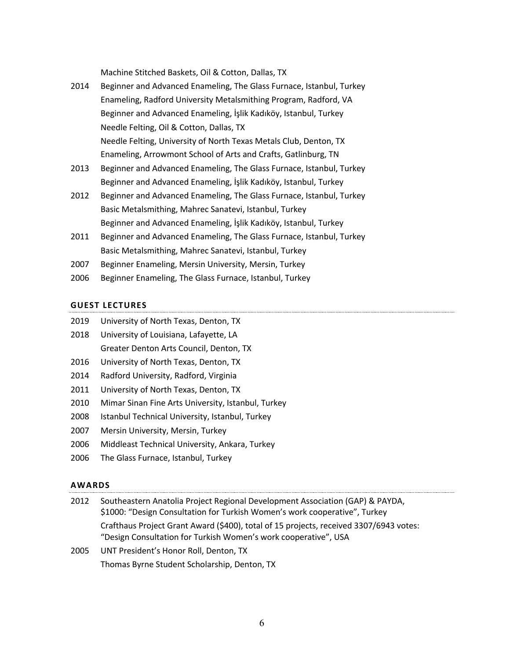Machine Stitched Baskets, Oil & Cotton, Dallas, TX

- 2014 Beginner and Advanced Enameling, The Glass Furnace, Istanbul, Turkey Enameling, Radford University Metalsmithing Program, Radford, VA Beginner and Advanced Enameling, İşlik Kadıköy, Istanbul, Turkey Needle Felting, Oil & Cotton, Dallas, TX Needle Felting, University of North Texas Metals Club, Denton, TX Enameling, Arrowmont School of Arts and Crafts, Gatlinburg, TN
- 2013 Beginner and Advanced Enameling, The Glass Furnace, Istanbul, Turkey Beginner and Advanced Enameling, İşlik Kadıköy, Istanbul, Turkey
- 2012 Beginner and Advanced Enameling, The Glass Furnace, Istanbul, Turkey Basic Metalsmithing, Mahrec Sanatevi, Istanbul, Turkey Beginner and Advanced Enameling, İşlik Kadıköy, Istanbul, Turkey
- 2011 Beginner and Advanced Enameling, The Glass Furnace, Istanbul, Turkey Basic Metalsmithing, Mahrec Sanatevi, Istanbul, Turkey
- 2007 Beginner Enameling, Mersin University, Mersin, Turkey
- 2006 Beginner Enameling, The Glass Furnace, Istanbul, Turkey

## **GUEST LECTURES**

- 2018 University of Louisiana, Lafayette, LA Greater Denton Arts Council, Denton, TX
- 2016 University of North Texas, Denton, TX
- 2014 Radford University, Radford, Virginia
- 2011 University of North Texas, Denton, TX
- 2010 Mimar Sinan Fine Arts University, Istanbul, Turkey
- 2008 Istanbul Technical University, Istanbul, Turkey
- 2007 Mersin University, Mersin, Turkey
- 2006 Middleast Technical University, Ankara, Turkey
- 2006 The Glass Furnace, Istanbul, Turkey

## **AWARDS**

| 2012        | Southeastern Anatolia Project Regional Development Association (GAP) & PAYDA,<br>\$1000: "Design Consultation for Turkish Women's work cooperative", Turkey |
|-------------|-------------------------------------------------------------------------------------------------------------------------------------------------------------|
|             | Crafthaus Project Grant Award (\$400), total of 15 projects, received 3307/6943 votes:<br>"Design Consultation for Turkish Women's work cooperative", USA   |
| <b>DOOF</b> | <b>UNIT Drocident's Honor Doll, Denton, TV</b>                                                                                                              |

2005 UNT President's Honor Roll, Denton, TX Thomas Byrne Student Scholarship, Denton, TX